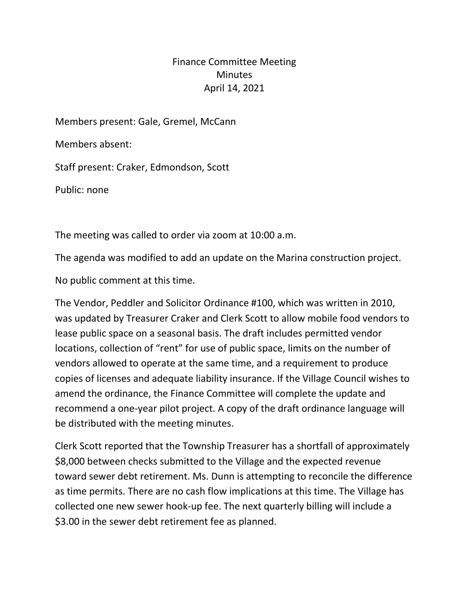## Finance Committee Meeting Minutes April 14, 2021

Members present: Gale, Gremel, McCann

Members absent:

Staff present: Craker, Edmondson, Scott

Public: none

The meeting was called to order via zoom at 10:00 a.m.

The agenda was modified to add an update on the Marina construction project.

No public comment at this time.

The Vendor, Peddler and Solicitor Ordinance #100, which was written in 2010, was updated by Treasurer Craker and Clerk Scott to allow mobile food vendors to lease public space on a seasonal basis. The draft includes permitted vendor locations, collection of "rent" for use of public space, limits on the number of vendors allowed to operate at the same time, and a requirement to produce copies of licenses and adequate liability insurance. If the Village Council wishes to amend the ordinance, the Finance Committee will complete the update and recommend a one-year pilot project. A copy of the draft ordinance language will be distributed with the meeting minutes.

Clerk Scott reported that the Township Treasurer has a shortfall of approximately \$8,000 between checks submitted to the Village and the expected revenue toward sewer debt retirement. Ms. Dunn is attempting to reconcile the difference as time permits. There are no cash flow implications at this time. The Village has collected one new sewer hook-up fee. The next quarterly billing will include a \$3.00 in the sewer debt retirement fee as planned.